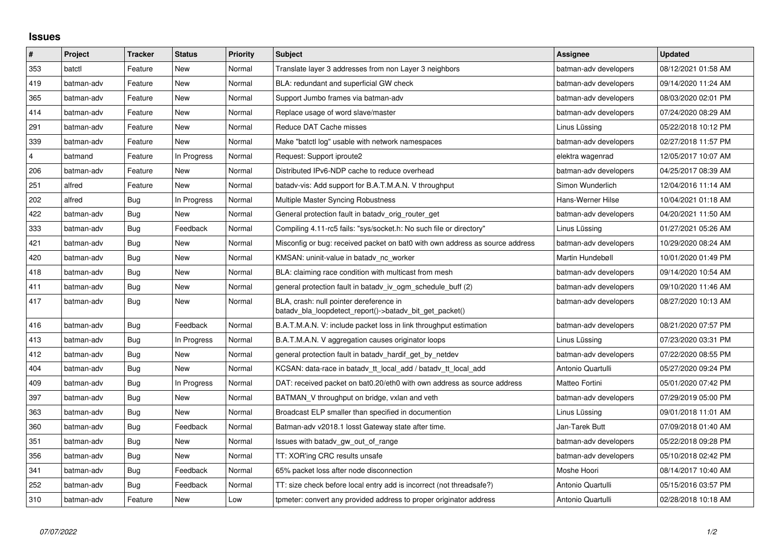## **Issues**

| $\vert$ # | Project    | <b>Tracker</b> | <b>Status</b> | <b>Priority</b> | <b>Subject</b>                                                                                     | Assignee              | <b>Updated</b>      |
|-----------|------------|----------------|---------------|-----------------|----------------------------------------------------------------------------------------------------|-----------------------|---------------------|
| 353       | batctl     | Feature        | New           | Normal          | Translate layer 3 addresses from non Layer 3 neighbors                                             | batman-adv developers | 08/12/2021 01:58 AM |
| 419       | batman-adv | Feature        | New           | Normal          | BLA: redundant and superficial GW check                                                            | batman-adv developers | 09/14/2020 11:24 AM |
| 365       | batman-adv | Feature        | New           | Normal          | Support Jumbo frames via batman-adv                                                                | batman-adv developers | 08/03/2020 02:01 PM |
| 414       | batman-adv | Feature        | New           | Normal          | Replace usage of word slave/master                                                                 | batman-adv developers | 07/24/2020 08:29 AM |
| 291       | batman-adv | Feature        | New           | Normal          | Reduce DAT Cache misses                                                                            | Linus Lüssing         | 05/22/2018 10:12 PM |
| 339       | batman-adv | Feature        | <b>New</b>    | Normal          | Make "batctl log" usable with network namespaces                                                   | batman-adv developers | 02/27/2018 11:57 PM |
| 4         | batmand    | Feature        | In Progress   | Normal          | Request: Support iproute2                                                                          | elektra wagenrad      | 12/05/2017 10:07 AM |
| 206       | batman-adv | Feature        | New           | Normal          | Distributed IPv6-NDP cache to reduce overhead                                                      | batman-adv developers | 04/25/2017 08:39 AM |
| 251       | alfred     | Feature        | <b>New</b>    | Normal          | batady-vis: Add support for B.A.T.M.A.N. V throughput                                              | Simon Wunderlich      | 12/04/2016 11:14 AM |
| 202       | alfred     | Bug            | In Progress   | Normal          | Multiple Master Syncing Robustness                                                                 | Hans-Werner Hilse     | 10/04/2021 01:18 AM |
| 422       | batman-adv | Bug            | New           | Normal          | General protection fault in batady orig router get                                                 | batman-adv developers | 04/20/2021 11:50 AM |
| 333       | batman-adv | Bug            | Feedback      | Normal          | Compiling 4.11-rc5 fails: "sys/socket.h: No such file or directory"                                | Linus Lüssing         | 01/27/2021 05:26 AM |
| 421       | batman-adv | Bug            | New           | Normal          | Misconfig or bug: received packet on bat0 with own address as source address                       | batman-adv developers | 10/29/2020 08:24 AM |
| 420       | batman-adv | Bug            | <b>New</b>    | Normal          | KMSAN: uninit-value in batady nc worker                                                            | Martin Hundebøll      | 10/01/2020 01:49 PM |
| 418       | batman-adv | Bug            | New           | Normal          | BLA: claiming race condition with multicast from mesh                                              | batman-adv developers | 09/14/2020 10:54 AM |
| 411       | batman-adv | Bug            | New           | Normal          | general protection fault in batady iv ogm schedule buff (2)                                        | batman-adv developers | 09/10/2020 11:46 AM |
| 417       | batman-adv | Bug            | New           | Normal          | BLA, crash: null pointer dereference in<br>batady bla loopdetect_report()->batady_bit_get_packet() | batman-adv developers | 08/27/2020 10:13 AM |
| 416       | batman-adv | Bug            | Feedback      | Normal          | B.A.T.M.A.N. V: include packet loss in link throughput estimation                                  | batman-adv developers | 08/21/2020 07:57 PM |
| 413       | batman-adv | Bug            | In Progress   | Normal          | B.A.T.M.A.N. V aggregation causes originator loops                                                 | Linus Lüssing         | 07/23/2020 03:31 PM |
| 412       | batman-adv | Bug            | New           | Normal          | general protection fault in batady hardif get by netdev                                            | batman-adv developers | 07/22/2020 08:55 PM |
| 404       | batman-adv | <b>Bug</b>     | New           | Normal          | KCSAN: data-race in batady tt local add / batady tt local add                                      | Antonio Quartulli     | 05/27/2020 09:24 PM |
| 409       | batman-adv | Bug            | In Progress   | Normal          | DAT: received packet on bat0.20/eth0 with own address as source address                            | Matteo Fortini        | 05/01/2020 07:42 PM |
| 397       | batman-adv | Bug            | New           | Normal          | BATMAN V throughput on bridge, vxlan and veth                                                      | batman-adv developers | 07/29/2019 05:00 PM |
| 363       | batman-adv | Bug            | <b>New</b>    | Normal          | Broadcast ELP smaller than specified in documention                                                | Linus Lüssing         | 09/01/2018 11:01 AM |
| 360       | batman-adv | Bug            | Feedback      | Normal          | Batman-adv v2018.1 losst Gateway state after time.                                                 | Jan-Tarek Butt        | 07/09/2018 01:40 AM |
| 351       | batman-adv | Bug            | New           | Normal          | Issues with batady gw out of range                                                                 | batman-adv developers | 05/22/2018 09:28 PM |
| 356       | batman-adv | Bug            | <b>New</b>    | Normal          | TT: XOR'ing CRC results unsafe                                                                     | batman-adv developers | 05/10/2018 02:42 PM |
| 341       | batman-adv | Bug            | Feedback      | Normal          | 65% packet loss after node disconnection                                                           | Moshe Hoori           | 08/14/2017 10:40 AM |
| 252       | batman-adv | Bug            | Feedback      | Normal          | TT: size check before local entry add is incorrect (not threadsafe?)                               | Antonio Quartulli     | 05/15/2016 03:57 PM |
| 310       | batman-adv | Feature        | New           | Low             | tpmeter: convert any provided address to proper originator address                                 | Antonio Quartulli     | 02/28/2018 10:18 AM |